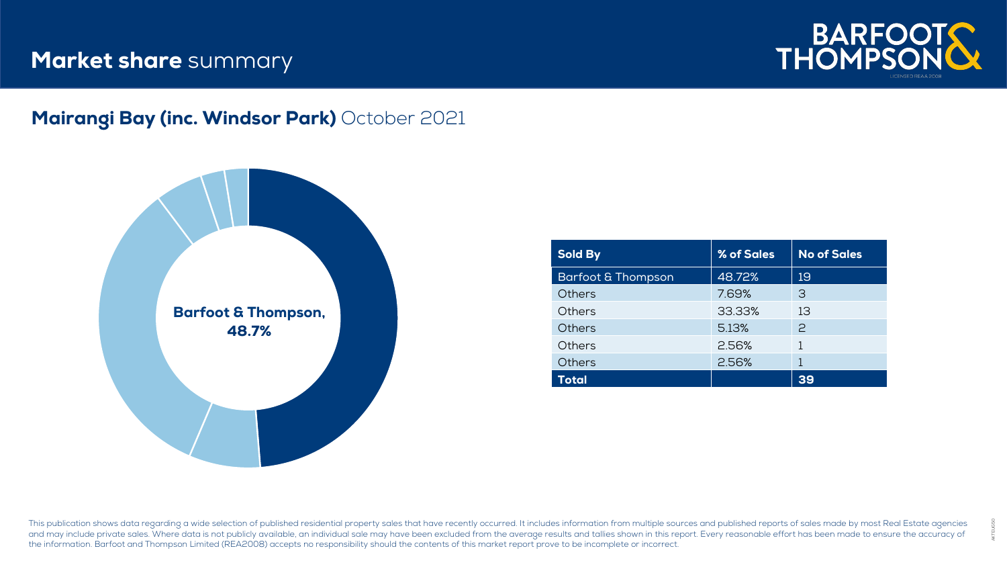## **Market share** summary



AKTEUG50

#### Mairangi Bay (inc. Windsor Park) October 2021



| <b>Sold By</b>                | % of Sales | <b>No of Sales</b> |
|-------------------------------|------------|--------------------|
| <b>Barfoot &amp; Thompson</b> | 48.72%     | 19                 |
| Others                        | 7.69%      | З                  |
| Others                        | 33.33%     | 13                 |
| <b>Others</b>                 | 5.13%      | $\mathcal{P}$      |
| Others                        | 2.56%      |                    |
| <b>Others</b>                 | 2.56%      |                    |
| Total                         |            | 39                 |

This publication shows data regarding a wide selection of published residential property sales that have recently occurred. It includes information from multiple sources and published reports of sales made by most Real Est and may include private sales. Where data is not publicly available, an individual sale may have been excluded from the average results and tallies shown in this report. Every reasonable effort has been made to ensure the the information. Barfoot and Thompson Limited (REA2008) accepts no responsibility should the contents of this market report prove to be incomplete or incorrect.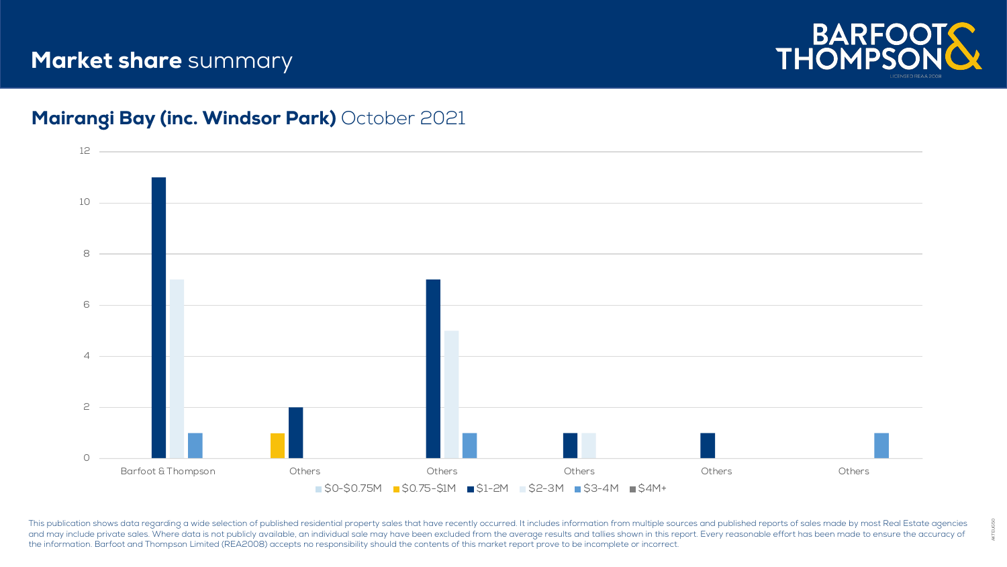# **Market share** summary



#### Mairangi Bay (inc. Windsor Park) October 2021



This publication shows data regarding a wide selection of published residential property sales that have recently occurred. It includes information from multiple sources and published reports of sales made by most Real Est and may include private sales. Where data is not publicly available, an individual sale may have been excluded from the average results and tallies shown in this report. Every reasonable effort has been made to ensure the the information. Barfoot and Thompson Limited (REA2008) accepts no responsibility should the contents of this market report prove to be incomplete or incorrect.